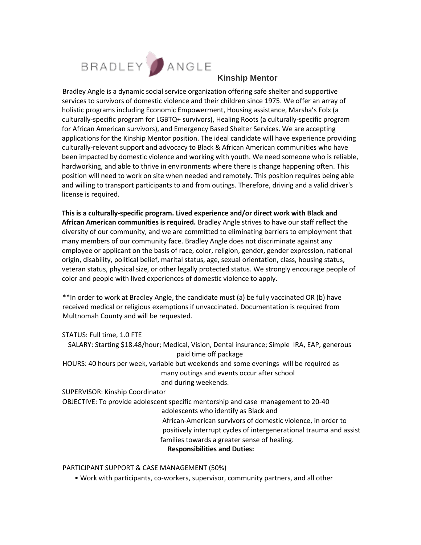

Bradley Angle is a dynamic social service organization offering safe shelter and supportive services to survivors of domestic violence and their children since 1975. We offer an array of holistic programs including Economic Empowerment, Housing assistance, Marsha's Folx (a culturally-specific program for LGBTQ+ survivors), Healing Roots (a culturally-specific program for African American survivors), and Emergency Based Shelter Services. We are accepting applications for the Kinship Mentor position. The ideal candidate will have experience providing culturally-relevant support and advocacy to Black & African American communities who have been impacted by domestic violence and working with youth. We need someone who is reliable, hardworking, and able to thrive in environments where there is change happening often. This position will need to work on site when needed and remotely. This position requires being able and willing to transport participants to and from outings. Therefore, driving and a valid driver's license is required.

**This is a culturally-specific program. Lived experience and/or direct work with Black and African American communities is required.** Bradley Angle strives to have our staff reflect the diversity of our community, and we are committed to eliminating barriers to employment that many members of our community face. Bradley Angle does not discriminate against any employee or applicant on the basis of race, color, religion, gender, gender expression, national origin, disability, political belief, marital status, age, sexual orientation, class, housing status, veteran status, physical size, or other legally protected status. We strongly encourage people of color and people with lived experiences of domestic violence to apply.

\*\*In order to work at Bradley Angle, the candidate must (a) be fully vaccinated OR (b) have received medical or religious exemptions if unvaccinated. Documentation is required from Multnomah County and will be requested.

STATUS: Full time, 1.0 FTE

SALARY: Starting \$18.48/hour; Medical, Vision, Dental insurance; Simple IRA, EAP, generous paid time off package HOURS: 40 hours per week, variable but weekends and some evenings will be required as many outings and events occur after school and during weekends.

SUPERVISOR: Kinship Coordinator OBJECTIVE: To provide adolescent specific mentorship and case management to 20-40 adolescents who identify as Black and African-American survivors of domestic violence, in order to positively interrupt cycles of intergenerational trauma and assist families towards a greater sense of healing. **Responsibilities and Duties:** 

PARTICIPANT SUPPORT & CASE MANAGEMENT (50%)

• Work with participants, co-workers, supervisor, community partners, and all other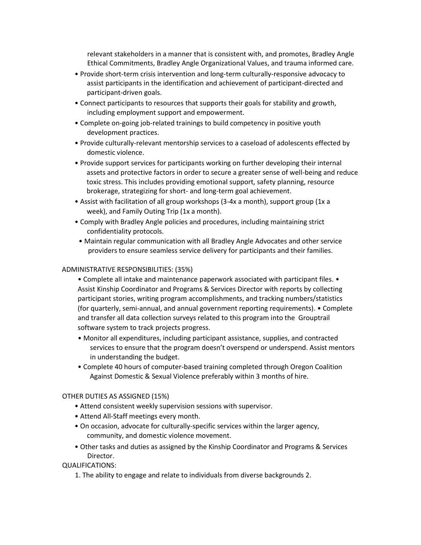relevant stakeholders in a manner that is consistent with, and promotes, Bradley Angle Ethical Commitments, Bradley Angle Organizational Values, and trauma informed care.

- Provide short-term crisis intervention and long-term culturally-responsive advocacy to assist participants in the identification and achievement of participant-directed and participant-driven goals.
- Connect participants to resources that supports their goals for stability and growth, including employment support and empowerment.
- Complete on-going job-related trainings to build competency in positive youth development practices.
- Provide culturally-relevant mentorship services to a caseload of adolescents effected by domestic violence.
- Provide support services for participants working on further developing their internal assets and protective factors in order to secure a greater sense of well-being and reduce toxic stress. This includes providing emotional support, safety planning, resource brokerage, strategizing for short- and long-term goal achievement.
- Assist with facilitation of all group workshops (3-4x a month), support group (1x a week), and Family Outing Trip (1x a month).
- Comply with Bradley Angle policies and procedures, including maintaining strict confidentiality protocols.
- Maintain regular communication with all Bradley Angle Advocates and other service providers to ensure seamless service delivery for participants and their families.

# ADMINISTRATIVE RESPONSIBILITIES: (35%)

- Complete all intake and maintenance paperwork associated with participant files. Assist Kinship Coordinator and Programs & Services Director with reports by collecting participant stories, writing program accomplishments, and tracking numbers/statistics (for quarterly, semi-annual, and annual government reporting requirements). • Complete and transfer all data collection surveys related to this program into the Grouptrail software system to track projects progress.
- Monitor all expenditures, including participant assistance, supplies, and contracted services to ensure that the program doesn't overspend or underspend. Assist mentors in understanding the budget.
- Complete 40 hours of computer-based training completed through Oregon Coalition Against Domestic & Sexual Violence preferably within 3 months of hire.

### OTHER DUTIES AS ASSIGNED (15%)

- Attend consistent weekly supervision sessions with supervisor.
- Attend All-Staff meetings every month.
- On occasion, advocate for culturally-specific services within the larger agency, community, and domestic violence movement.
- Other tasks and duties as assigned by the Kinship Coordinator and Programs & Services Director.

QUALIFICATIONS:

1. The ability to engage and relate to individuals from diverse backgrounds 2.